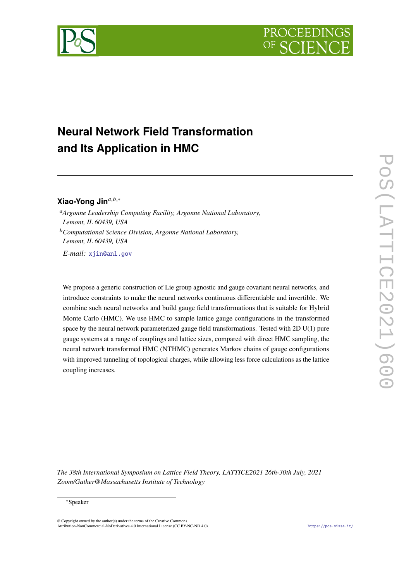



# **Neural Network Field Transformation and Its Application in HMC**

## Xiao-Yong Jin<sup>a,b,∗</sup>

*Argonne Leadership Computing Facility, Argonne National Laboratory, Lemont, IL 60439, USA*

*Computational Science Division, Argonne National Laboratory, Lemont, IL 60439, USA*

*E-mail:* [xjin@anl.gov](mailto:xjin@anl.gov)

We propose a generic construction of Lie group agnostic and gauge covariant neural networks, and introduce constraints to make the neural networks continuous differentiable and invertible. We combine such neural networks and build gauge field transformations that is suitable for Hybrid Monte Carlo (HMC). We use HMC to sample lattice gauge configurations in the transformed space by the neural network parameterized gauge field transformations. Tested with 2D U(1) pure gauge systems at a range of couplings and lattice sizes, compared with direct HMC sampling, the neural network transformed HMC (NTHMC) generates Markov chains of gauge configurations with improved tunneling of topological charges, while allowing less force calculations as the lattice coupling increases.

*The 38th International Symposium on Lattice Field Theory, LATTICE2021 26th-30th July, 2021 Zoom/Gather@Massachusetts Institute of Technology*

#### <sup>∗</sup>Speaker

© Copyright owned by the author(s) under the terms of the Creative Commons Attribution-NonCommercial-NoDerivatives 4.0 International License (CC BY-NC-ND 4.0). <https://pos.sissa.it/>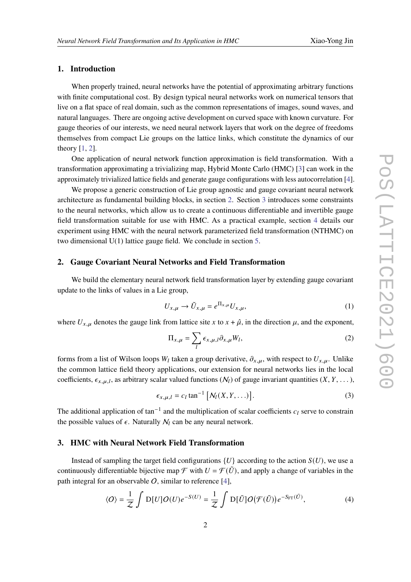#### **1. Introduction**

When properly trained, neural networks have the potential of approximating arbitrary functions with finite computational cost. By design typical neural networks work on numerical tensors that live on a flat space of real domain, such as the common representations of images, sound waves, and natural languages. There are ongoing active development on curved space with known curvature. For gauge theories of our interests, we need neural network layers that work on the degree of freedoms themselves from compact Lie groups on the lattice links, which constitute the dynamics of our theory [\[1,](#page-7-0) [2\]](#page-7-1).

One application of neural network function approximation is field transformation. With a transformation approximating a trivializing map, Hybrid Monte Carlo (HMC) [\[3\]](#page-7-2) can work in the approximately trivialized lattice fields and generate gauge configurations with less autocorrelation [\[4\]](#page-7-3).

We propose a generic construction of Lie group agnostic and gauge covariant neural network architecture as fundamental building blocks, in section [2.](#page-1-0) Section [3](#page-1-1) introduces some constraints to the neural networks, which allow us to create a continuous differentiable and invertible gauge field transformation suitable for use with HMC. As a practical example, section [4](#page-2-0) details our experiment using HMC with the neural network parameterized field transformation (NTHMC) on two dimensional U(1) lattice gauge field. We conclude in section [5.](#page-6-0)

#### <span id="page-1-0"></span>**2. Gauge Covariant Neural Networks and Field Transformation**

We build the elementary neural network field transformation layer by extending gauge covariant update to the links of values in a Lie group,

<span id="page-1-2"></span>
$$
U_{x,\mu} \to \tilde{U}_{x,\mu} = e^{\Pi_{x,\mu}} U_{x,\mu},\tag{1}
$$

where  $U_{x,\mu}$  denotes the gauge link from lattice site x to  $x + \hat{\mu}$ , in the direction  $\mu$ , and the exponent,

<span id="page-1-4"></span>
$$
\Pi_{x,\mu} = \sum_{l} \epsilon_{x,\mu,l} \partial_{x,\mu} W_l,
$$
\n(2)

forms from a list of Wilson loops  $W_l$  taken a group derivative,  $\partial_{x,\mu}$ , with respect to  $U_{x,\mu}$ . Unlike the common lattice field theory applications, our extension for neural networks lies in the local coefficients,  $\epsilon_{x,u,l}$ , as arbitrary scalar valued functions ( $N_l$ ) of gauge invariant quantities (X, Y, ...),

<span id="page-1-3"></span>
$$
\epsilon_{x,\mu,l} = c_l \tan^{-1} \left[ \mathcal{N}_l(X,Y,\ldots) \right]. \tag{3}
$$

The additional application of tan<sup>-1</sup> and the multiplication of scalar coefficients  $c_l$  serve to constrain the possible values of  $\epsilon$ . Naturally  $N_l$  can be any neural network.

#### <span id="page-1-1"></span>**3. HMC with Neural Network Field Transformation**

Instead of sampling the target field configurations  ${U}$  according to the action  $S(U)$ , we use a continuously differentiable bijective map  $\mathcal F$  with  $U = \mathcal F(\tilde U)$ , and apply a change of variables in the path integral for an observable  $O$ , similar to reference [\[4\]](#page-7-3),

$$
\langle O \rangle = \frac{1}{Z} \int D[U] O(U) e^{-S(U)} = \frac{1}{Z} \int D[\tilde{U}] O(\mathcal{F}(\tilde{U})) e^{-S_{\text{FT}}(\tilde{U})}, \tag{4}
$$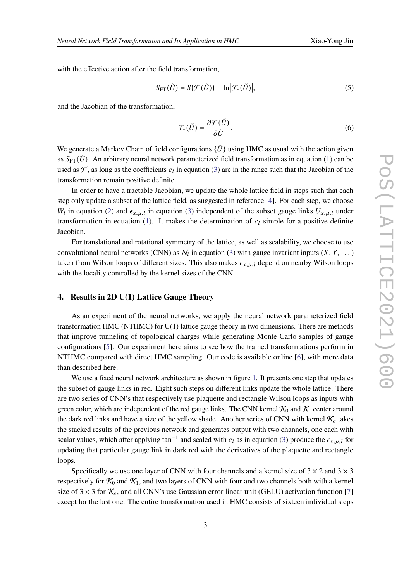with the effective action after the field transformation,

$$
S_{\text{FT}}(\tilde{U}) = S(\mathcal{F}(\tilde{U})) - \ln |\mathcal{F}_*(\tilde{U})|,
$$
\n(5)

and the Jacobian of the transformation,

$$
\mathcal{F}_{*}(\tilde{U}) = \frac{\partial \mathcal{F}(\tilde{U})}{\partial \tilde{U}}.
$$
\n(6)

We generate a Markov Chain of field configurations  $\{\tilde{U}\}\$  using HMC as usual with the action given as  $S_{\text{FT}}(\tilde{U})$ . An arbitrary neural network parameterized field transformation as in equation [\(1\)](#page-1-2) can be used as  $\mathcal F$ , as long as the coefficients  $c_l$  in equation [\(3\)](#page-1-3) are in the range such that the Jacobian of the transformation remain positive definite.

In order to have a tractable Jacobian, we update the whole lattice field in steps such that each step only update a subset of the lattice field, as suggested in reference [\[4\]](#page-7-3). For each step, we choose  $W_l$  in equation [\(2\)](#page-1-4) and  $\epsilon_{x,\mu,l}$  in equation [\(3\)](#page-1-3) independent of the subset gauge links  $U_{x,\mu,l}$  under transformation in equation [\(1\)](#page-1-2). It makes the determination of  $c_l$  simple for a positive definite Jacobian.

For translational and rotational symmetry of the lattice, as well as scalability, we choose to use convolutional neural networks (CNN) as  $\mathcal{N}_l$  in equation [\(3\)](#page-1-3) with gauge invariant inputs  $(X, Y, \dots)$ taken from Wilson loops of different sizes. This also makes  $\epsilon_{x,\mu,l}$  depend on nearby Wilson loops with the locality controlled by the kernel sizes of the CNN.

#### <span id="page-2-0"></span>**4. Results in 2D U(1) Lattice Gauge Theory**

As an experiment of the neural networks, we apply the neural network parameterized field transformation HMC (NTHMC) for U(1) lattice gauge theory in two dimensions. There are methods that improve tunneling of topological charges while generating Monte Carlo samples of gauge configurations [\[5\]](#page-7-4). Our experiment here aims to see how the trained transformations perform in NTHMC compared with direct HMC sampling. Our code is available online [\[6\]](#page-7-5), with more data than described here.

We use a fixed neural network architecture as shown in figure [1.](#page-3-0) It presents one step that updates the subset of gauge links in red. Eight such steps on different links update the whole lattice. There are two series of CNN's that respectively use plaquette and rectangle Wilson loops as inputs with green color, which are independent of the red gauge links. The CNN kernel  $\mathcal{K}_0$  and  $\mathcal{K}_1$  center around the dark red links and have a size of the yellow shade. Another series of CNN with kernel  $\mathcal{K}_c$  takes the stacked results of the previous network and generates output with two channels, one each with scalar values, which after applying tan<sup>-1</sup> and scaled with  $c_l$  as in equation [\(3\)](#page-1-3) produce the  $\epsilon_{x,\mu,l}$  for updating that particular gauge link in dark red with the derivatives of the plaquette and rectangle loops.

Specifically we use one layer of CNN with four channels and a kernel size of  $3 \times 2$  and  $3 \times 3$ respectively for  $K_0$  and  $K_1$ , and two layers of CNN with four and two channels both with a kernel size of 3  $\times$  3 for  $\mathcal{K}_c$ , and all CNN's use Gaussian error linear unit (GELU) activation function [\[7\]](#page-7-6) except for the last one. The entire transformation used in HMC consists of sixteen individual steps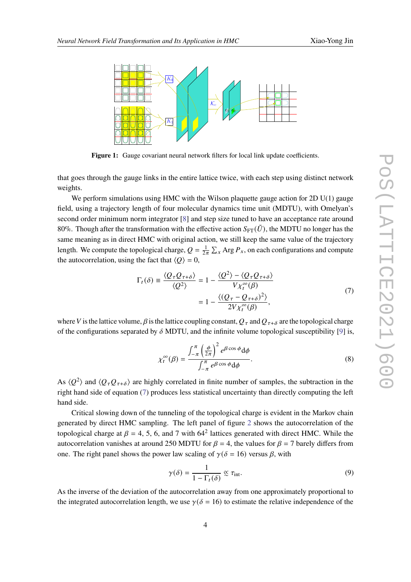<span id="page-3-0"></span>

Figure 1: Gauge covariant neural network filters for local link update coefficients.

that goes through the gauge links in the entire lattice twice, with each step using distinct network weights.

We perform simulations using HMC with the Wilson plaquette gauge action for 2D  $U(1)$  gauge field, using a trajectory length of four molecular dynamics time unit (MDTU), with Omelyan's second order minimum norm integrator [\[8\]](#page-7-7) and step size tuned to have an acceptance rate around 80%. Though after the transformation with the effective action  $S_{\text{FT}}(\tilde{U})$ , the MDTU no longer has the same meaning as in direct HMC with original action, we still keep the same value of the trajectory length. We compute the topological charge,  $Q = \frac{1}{2\pi} \sum_x \text{Arg } P_x$ , on each configurations and compute the autocorrelation, using the fact that  $\langle Q \rangle = 0$ ,

$$
\Gamma_t(\delta) \equiv \frac{\langle Q_\tau Q_{\tau+\delta} \rangle}{\langle Q^2 \rangle} = 1 - \frac{\langle Q^2 \rangle - \langle Q_\tau Q_{\tau+\delta} \rangle}{V \chi_t^\infty(\beta)}
$$
\n
$$
= 1 - \frac{\langle (Q_\tau - Q_{\tau+\delta})^2 \rangle}{2V \chi_t^\infty(\beta)},
$$
\n(7)

<span id="page-3-1"></span>where V is the lattice volume,  $\beta$  is the lattice coupling constant,  $Q_\tau$  and  $Q_{\tau+\delta}$  are the topological charge of the configurations separated by  $\delta$  MDTU, and the infinite volume topological susceptibility [\[9\]](#page-7-8) is,

$$
\chi_t^{\infty}(\beta) = \frac{\int_{-\pi}^{\pi} \left(\frac{\phi}{2\pi}\right)^2 e^{\beta \cos \phi} d\phi}{\int_{-\pi}^{\pi} e^{\beta \cos \phi} d\phi}.
$$
\n(8)

As  $\langle Q^2 \rangle$  and  $\langle Q_\tau Q_{\tau+\delta} \rangle$  are highly correlated in finite number of samples, the subtraction in the right hand side of equation [\(7\)](#page-3-1) produces less statistical uncertainty than directly computing the left hand side.

Critical slowing down of the tunneling of the topological charge is evident in the Markov chain generated by direct HMC sampling. The left panel of figure [2](#page-4-0) shows the autocorrelation of the topological charge at  $\beta = 4, 5, 6$ , and 7 with 64<sup>2</sup> lattices generated with direct HMC. While the autocorrelation vanishes at around 250 MDTU for  $\beta = 4$ , the values for  $\beta = 7$  barely differs from one. The right panel shows the power law scaling of  $\gamma(\delta = 16)$  versus  $\beta$ , with

$$
\gamma(\delta) = \frac{1}{1 - \Gamma_t(\delta)} \propto \tau_{\text{int}}.\tag{9}
$$

As the inverse of the deviation of the autocorrelation away from one approximately proportional to the integrated autocorrelation length, we use  $\gamma(\delta = 16)$  to estimate the relative independence of the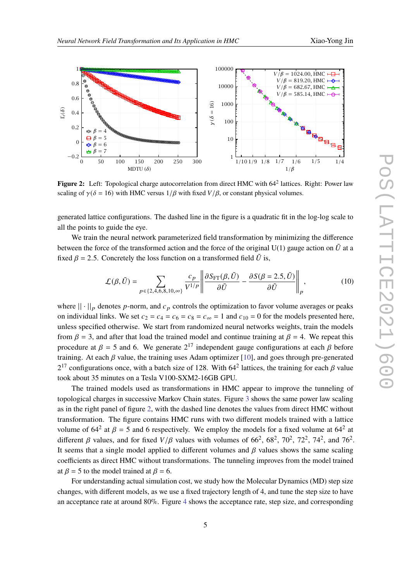<span id="page-4-0"></span>

Figure 2: Left: Topological charge autocorrelation from direct HMC with 64<sup>2</sup> lattices. Right: Power law scaling of  $\gamma(\delta = 16)$  with HMC versus  $1/\beta$  with fixed  $V/\beta$ , or constant physical volumes.

generated lattice configurations. The dashed line in the figure is a quadratic fit in the log-log scale to all the points to guide the eye.

We train the neural network parameterized field transformation by minimizing the difference between the force of the transformed action and the force of the original U(1) gauge action on  $\tilde{U}$  at a fixed  $\beta = 2.5$ . Concretely the loss function on a transformed field  $\tilde{U}$  is,

<span id="page-4-1"></span>
$$
\mathcal{L}(\beta, \tilde{U}) = \sum_{p \in \{2, 4, 6, 8, 10, \infty\}} \frac{c_p}{V^{1/p}} \left\| \frac{\partial S_{\text{FT}}(\beta, \tilde{U})}{\partial \tilde{U}} - \frac{\partial S(\beta = 2.5, \tilde{U})}{\partial \tilde{U}} \right\|_p, \tag{10}
$$

where  $|| \cdot ||_p$  denotes p-norm, and  $c_p$  controls the optimization to favor volume averages or peaks on individual links. We set  $c_2 = c_4 = c_6 = c_8 = c_{\infty} = 1$  and  $c_{10} = 0$  for the models presented here, unless specified otherwise. We start from randomized neural networks weights, train the models from  $\beta = 3$ , and after that load the trained model and continue training at  $\beta = 4$ . We repeat this procedure at  $\beta = 5$  and 6. We generate  $2^{17}$  independent gauge configurations at each  $\beta$  before training. At each  $\beta$  value, the training uses Adam optimizer [\[10\]](#page-7-9), and goes through pre-generated  $2^{17}$  configurations once, with a batch size of 128. With 64<sup>2</sup> lattices, the training for each  $\beta$  value took about 35 minutes on a Tesla V100-SXM2-16GB GPU.

The trained models used as transformations in HMC appear to improve the tunneling of topological charges in successive Markov Chain states. Figure [3](#page-5-0) shows the same power law scaling as in the right panel of figure [2,](#page-4-0) with the dashed line denotes the values from direct HMC without transformation. The figure contains HMC runs with two different models trained with a lattice volume of  $64^2$  at  $\beta = 5$  and 6 respectively. We employ the models for a fixed volume at  $64^2$  at different  $\beta$  values, and for fixed  $V/\beta$  values with volumes of 66<sup>2</sup>, 68<sup>2</sup>, 70<sup>2</sup>, 72<sup>2</sup>, 74<sup>2</sup>, and 76<sup>2</sup>. It seems that a single model applied to different volumes and  $\beta$  values shows the same scaling coefficients as direct HMC without transformations. The tunneling improves from the model trained at  $\beta = 5$  to the model trained at  $\beta = 6$ .

For understanding actual simulation cost, we study how the Molecular Dynamics (MD) step size changes, with different models, as we use a fixed trajectory length of 4, and tune the step size to have an acceptance rate at around 80%. Figure [4](#page-5-1) shows the acceptance rate, step size, and corresponding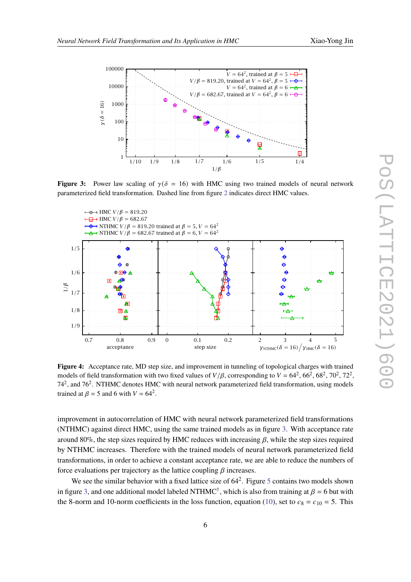<span id="page-5-0"></span>

**Figure 3:** Power law scaling of  $\gamma(\delta = 16)$  with HMC using two trained models of neural network parameterized field transformation. Dashed line from figure [2](#page-4-0) indicates direct HMC values.

<span id="page-5-1"></span>

**Figure 4:** Acceptance rate, MD step size, and improvement in tunneling of topological charges with trained models of field transformation with two fixed values of  $V/\beta$ , corresponding to  $V = 64^2, 66^2, 68^2, 70^2, 72^2$ , 74<sup>2</sup>, and 76<sup>2</sup>. NTHMC denotes HMC with neural network parameterized field transformation, using models trained at  $\beta = 5$  and 6 with  $V = 64^2$ .

improvement in autocorrelation of HMC with neural network parameterized field transformations (NTHMC) against direct HMC, using the same trained models as in figure [3.](#page-5-0) With acceptance rate around 80%, the step sizes required by HMC reduces with increasing  $\beta$ , while the step sizes required by NTHMC increases. Therefore with the trained models of neural network parameterized field transformations, in order to achieve a constant acceptance rate, we are able to reduce the numbers of force evaluations per trajectory as the lattice coupling  $\beta$  increases.

We see the similar behavior with a fixed lattice size of  $64^2$ . Figure [5](#page-6-1) contains two models shown in figure [3,](#page-5-0) and one additional model labeled NTHMC<sup>†</sup>, which is also from training at  $\beta = 6$  but with the 8-norm and 10-norm coefficients in the loss function, equation [\(10\)](#page-4-1), set to  $c_8 = c_{10} = 5$ . This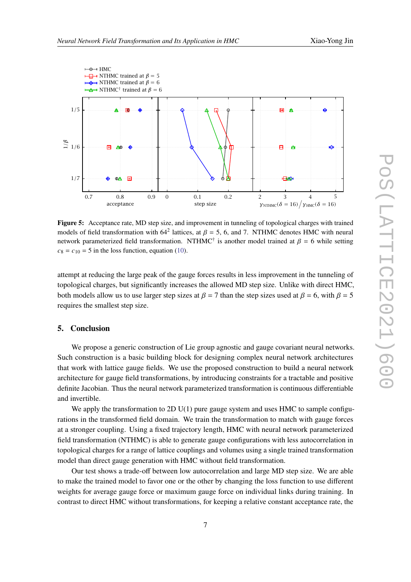<span id="page-6-1"></span>

**Figure 5:** Acceptance rate, MD step size, and improvement in tunneling of topological charges with trained models of field transformation with  $64^2$  lattices, at  $\beta = 5$ , 6, and 7. NTHMC denotes HMC with neural network parameterized field transformation. NTHMC<sup>†</sup> is another model trained at  $\beta = 6$  while setting  $c_8 = c_{10} = 5$  in the loss function, equation [\(10\)](#page-4-1).

attempt at reducing the large peak of the gauge forces results in less improvement in the tunneling of topological charges, but significantly increases the allowed MD step size. Unlike with direct HMC, both models allow us to use larger step sizes at  $\beta = 7$  than the step sizes used at  $\beta = 6$ , with  $\beta = 5$ requires the smallest step size.

### <span id="page-6-0"></span>**5. Conclusion**

We propose a generic construction of Lie group agnostic and gauge covariant neural networks. Such construction is a basic building block for designing complex neural network architectures that work with lattice gauge fields. We use the proposed construction to build a neural network architecture for gauge field transformations, by introducing constraints for a tractable and positive definite Jacobian. Thus the neural network parameterized transformation is continuous differentiable and invertible.

We apply the transformation to 2D  $U(1)$  pure gauge system and uses HMC to sample configurations in the transformed field domain. We train the transformation to match with gauge forces at a stronger coupling. Using a fixed trajectory length, HMC with neural network parameterized field transformation (NTHMC) is able to generate gauge configurations with less autocorrelation in topological charges for a range of lattice couplings and volumes using a single trained transformation model than direct gauge generation with HMC without field transformation.

Our test shows a trade-off between low autocorrelation and large MD step size. We are able to make the trained model to favor one or the other by changing the loss function to use different weights for average gauge force or maximum gauge force on individual links during training. In contrast to direct HMC without transformations, for keeping a relative constant acceptance rate, the